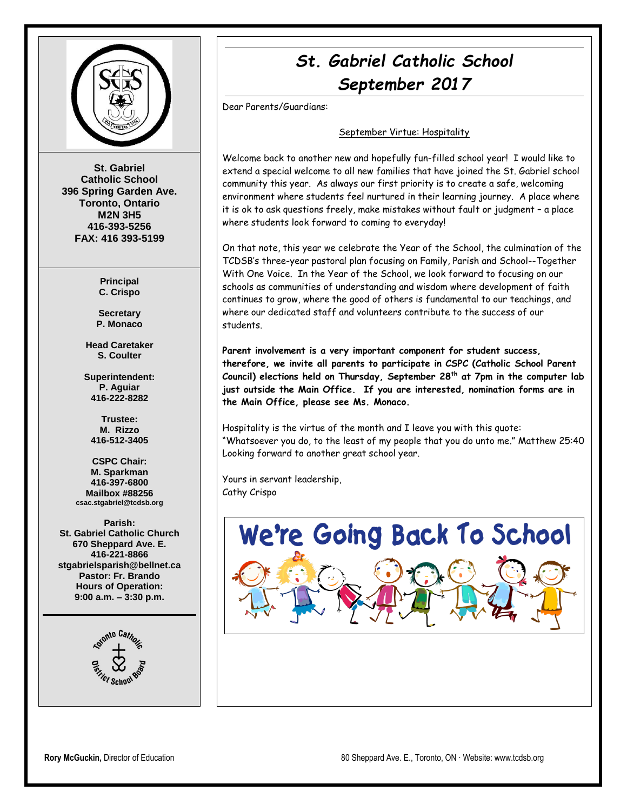

**St. Gabriel Catholic School 396 Spring Garden Ave. Toronto, Ontario M2N 3H5 416-393-5256 FAX: 416 393-5199**

> **Principal C. Crispo**

**Secretary P. Monaco**

**Head Caretaker S. Coulter**

**Superintendent: P. Aguiar 416-222-8282**

**Trustee: M. Rizzo 416-512-3405**

**CSPC Chair: M. Sparkman 416-397-6800 Mailbox #88256 csac.stgabriel@tcdsb.org**

**Parish: St. Gabriel Catholic Church 670 Sheppard Ave. E. 416-221-8866 stgabrielsparish@bellnet.ca Pastor: Fr. Brando Hours of Operation: 9:00 a.m. – 3:30 p.m.**



# *St. Gabriel Catholic School September 2017*

Dear Parents/Guardians:

#### September Virtue: Hospitality

Welcome back to another new and hopefully fun-filled school year! I would like to extend a special welcome to all new families that have joined the St. Gabriel school community this year. As always our first priority is to create a safe, welcoming environment where students feel nurtured in their learning journey. A place where it is ok to ask questions freely, make mistakes without fault or judgment – a place where students look forward to coming to everyday!

On that note, this year we celebrate the Year of the School, the culmination of the TCDSB's three-year pastoral plan focusing on Family, Parish and School--Together With One Voice. In the Year of the School, we look forward to focusing on our schools as communities of understanding and wisdom where development of faith continues to grow, where the good of others is fundamental to our teachings, and where our dedicated staff and volunteers contribute to the success of our students.

**Parent involvement is a very important component for student success, therefore, we invite all parents to participate in CSPC (Catholic School Parent Council) elections held on Thursday, September 28th at 7pm in the computer lab just outside the Main Office. If you are interested, nomination forms are in the Main Office, please see Ms. Monaco.**

Hospitality is the virtue of the month and I leave you with this quote: "Whatsoever you do, to the least of my people that you do unto me." Matthew 25:40 Looking forward to another great school year.

Yours in servant leadership, Cathy Crispo

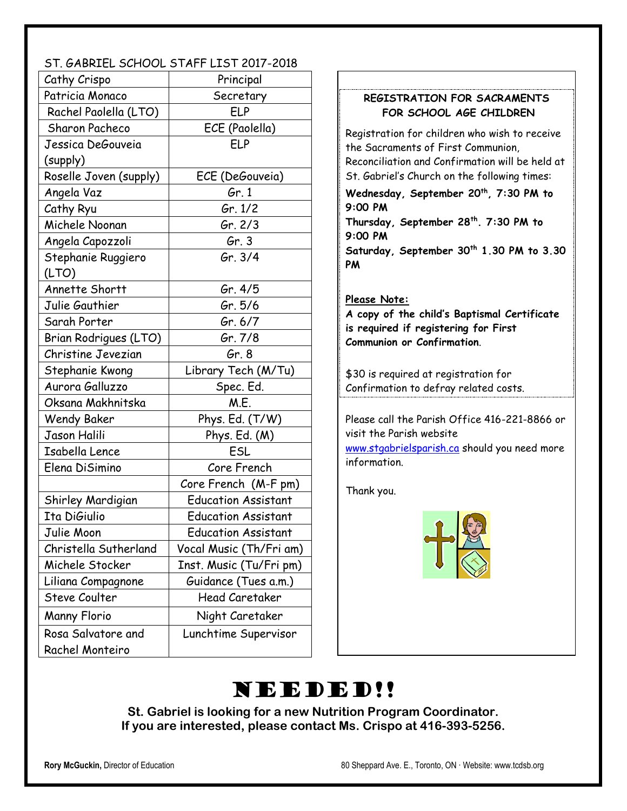## ST. GABRIEL SCHOOL STAFF LIST 2017-2018

| Cathy Crispo           | Principal                  |  |
|------------------------|----------------------------|--|
| Patricia Monaco        | Secretary                  |  |
| Rachel Paolella (LTO)  | ELP                        |  |
| Sharon Pacheco         | ECE (Paolella)             |  |
| Jessica DeGouveia      | ELP                        |  |
| (supply)               |                            |  |
| Roselle Joven (supply) | ECE (DeGouveia)            |  |
| Angela Vaz             | Gr. 1                      |  |
| Cathy Ryu              | Gr. $1/2$                  |  |
| Michele Noonan         | Gr. $2/3$                  |  |
| Angela Capozzoli       | Gr. $3$                    |  |
| Stephanie Ruggiero     | Gr. 3/4                    |  |
| (LTO)                  |                            |  |
| Annette Shortt         | <i>Gr.</i> 4/5             |  |
| Julie Gauthier         | Gr. 5/6                    |  |
| Sarah Porter           | Gr. 6/7                    |  |
| Brian Rodrigues (LTO)  | Gr. 7/8                    |  |
| Christine Jevezian     | Gr. 8                      |  |
| Stephanie Kwong        | Library Tech (M/Tu)        |  |
| Aurora Galluzzo        | Spec. Ed.                  |  |
| Oksana Makhnitska      | M.E.                       |  |
| <b>Wendy Baker</b>     | Phys. Ed. (T/W)            |  |
| Jason Halili           | Phys. Ed. (M)              |  |
| Isabella Lence         | ESL                        |  |
| Elena DiSimino         | Core French                |  |
|                        | Core French (M-F pm)       |  |
| Shirley Mardigian      | <b>Education Assistant</b> |  |
| Ita DiGiulio           | <b>Education Assistant</b> |  |
| Julie Moon             | <b>Education Assistant</b> |  |
| Christella Sutherland  | Vocal Music (Th/Fri am)    |  |
| Michele Stocker        | Inst. Music (Tu/Fri pm)    |  |
| Liliana Compagnone     | Guidance (Tues a.m.)       |  |
| Steve Coulter          | <b>Head Caretaker</b>      |  |
| <b>Manny Florio</b>    | Night Caretaker            |  |
| Rosa Salvatore and     | Lunchtime Supervisor       |  |
| <b>Rachel Monteiro</b> |                            |  |

## **REGISTRATION FOR SACRAMENTS FOR SCHOOL AGE CHILDREN**

Registration for children who wish to receive the Sacraments of First Communion, Reconciliation and Confirmation will be held at St. Gabriel's Church on the following times:

**Wednesday, September 20th, 7:30 PM to 9:00 PM**

**Thursday, September 28th. 7:30 PM to 9:00 PM Saturday, September 30th 1.30 PM to 3.30** 

### **Please Note:**

**PM**

**A copy of the child's Baptismal Certificate is required if registering for First Communion or Confirmation**.

\$30 is required at registration for Confirmation to defray related costs.

Please call the Parish Office 416-221-8866 or visit the Parish website

[www.stgabrielsparish.ca](http://www.stgabrielsparish.ca/) should you need more information.

Thank you.



# NEEDED!!

**St. Gabriel is looking for a new Nutrition Program Coordinator. If you are interested, please contact Ms. Crispo at 416-393-5256.**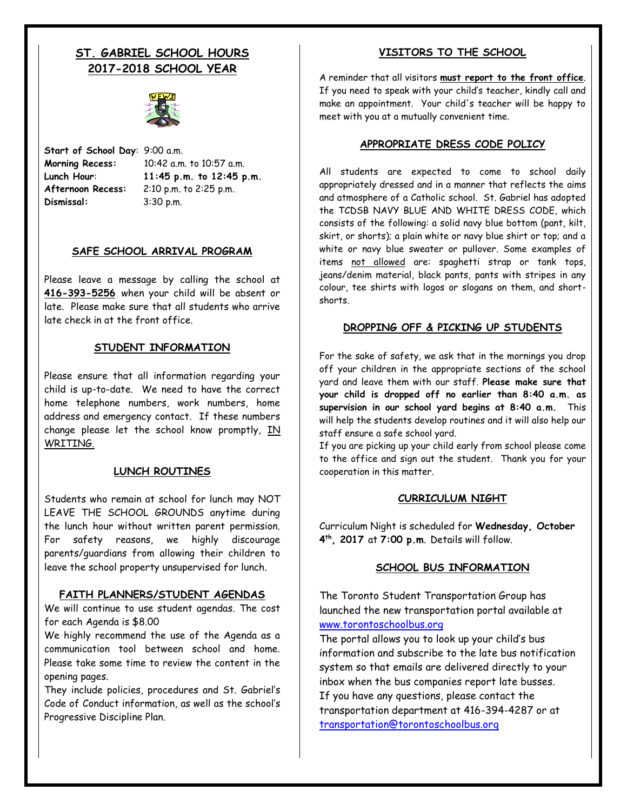# **ST. GABRIEL SCHOOL HOURS 2017-2018 SCHOOL YEAR**



**Start of School Day**: 9:00 a.m. **Afternoon Recess:** 2:10 p.m. to 2:25 p.m. **Dismissal:** 3:30 p.m.

**Morning Recess:** 10:42 a.m. to 10:57 a.m. **Lunch Hour**: **11:45 p.m. to 12:45 p.m.**

#### **SAFE SCHOOL ARRIVAL PROGRAM**

Please leave a message by calling the school at **416-393-5256** when your child will be absent or late. Please make sure that all students who arrive late check in at the front office.

#### **STUDENT INFORMATION**

Please ensure that all information regarding your child is up-to-date. We need to have the correct home telephone numbers, work numbers, home address and emergency contact. If these numbers change please let the school know promptly, IN WRITING.

#### **LUNCH ROUTINES**

Students who remain at school for lunch may NOT LEAVE THE SCHOOL GROUNDS anytime during the lunch hour without written parent permission. For safety reasons, we highly discourage parents/guardians from allowing their children to leave the school property unsupervised for lunch.

#### **FAITH PLANNERS/STUDENT AGENDAS**

We will continue to use student agendas. The cost for each Agenda is \$8.00

We highly recommend the use of the Agenda as a communication tool between school and home. Please take some time to review the content in the opening pages.

They include policies, procedures and St. Gabriel's Code of Conduct information, as well as the school's Progressive Discipline Plan.

#### **VISITORS TO THE SCHOOL**

A reminder that all visitors **must report to the front office**. If you need to speak with your child's teacher, kindly call and make an appointment. Your child's teacher will be happy to meet with you at a mutually convenient time.

#### **APPROPRIATE DRESS CODE POLICY**

All students are expected to come to school daily appropriately dressed and in a manner that reflects the aims and atmosphere of a Catholic school. St. Gabriel has adopted the TCDSB NAVY BLUE AND WHITE DRESS CODE, which consists of the following: a solid navy blue bottom (pant, kilt, skirt, or shorts); a plain white or navy blue shirt or top; and a white or navy blue sweater or pullover. Some examples of items not allowed are: spaghetti strap or tank tops, jeans/denim material, black pants, pants with stripes in any colour, tee shirts with logos or slogans on them, and shortshorts.

#### **DROPPING OFF & PICKING UP STUDENTS**

For the sake of safety, we ask that in the mornings you drop off your children in the appropriate sections of the school yard and leave them with our staff. **Please make sure that your child is dropped off no earlier than 8:40 a.m. as supervision in our school yard begins at 8:40 a.m.** This will help the students develop routines and it will also help our staff ensure a safe school yard.

If you are picking up your child early from school please come to the office and sign out the student. Thank you for your cooperation in this matter.

#### **CURRICULUM NIGHT**

Curriculum Night is scheduled for **Wednesday, October 4 th, 2017** at **7:00 p.m**. Details will follow.

### **SCHOOL BUS INFORMATION**

The Toronto Student Transportation Group has launched the new transportation portal available at [www.torontoschoolbus.org](http://www.torontoschoolbus.org/)

The portal allows you to look up your child's bus information and subscribe to the late bus notification system so that emails are delivered directly to your inbox when the bus companies report late busses. If you have any questions, please contact the transportation department at 416-394-4287 or at [transportation@torontoschoolbus.org](mailto:transportation@torontoschoolbus.org)